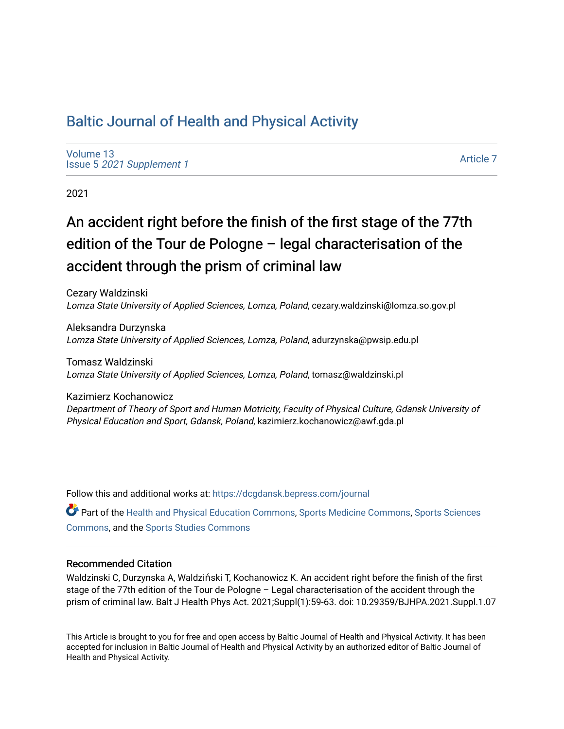# [Baltic Journal of Health and Physical Activity](https://dcgdansk.bepress.com/journal)

[Volume 13](https://dcgdansk.bepress.com/journal/vol13) Issue 5 [2021 Supplement 1](https://dcgdansk.bepress.com/journal/vol13/iss5) 

[Article 7](https://dcgdansk.bepress.com/journal/vol13/iss5/7) 

2021

# An accident right before the finish of the first stage of the 77th edition of the Tour de Pologne – legal characterisation of the accident through the prism of criminal law

Cezary Waldzinski Lomza State University of Applied Sciences, Lomza, Poland, cezary.waldzinski@lomza.so.gov.pl

Aleksandra Durzynska Lomza State University of Applied Sciences, Lomza, Poland, adurzynska@pwsip.edu.pl

Tomasz Waldzinski Lomza State University of Applied Sciences, Lomza, Poland, tomasz@waldzinski.pl

Kazimierz Kochanowicz Department of Theory of Sport and Human Motricity, Faculty of Physical Culture, Gdansk University of Physical Education and Sport, Gdansk, Poland, kazimierz.kochanowicz@awf.gda.pl

Follow this and additional works at: [https://dcgdansk.bepress.com/journal](https://dcgdansk.bepress.com/journal?utm_source=dcgdansk.bepress.com%2Fjournal%2Fvol13%2Fiss5%2F7&utm_medium=PDF&utm_campaign=PDFCoverPages)

Part of the [Health and Physical Education Commons](http://network.bepress.com/hgg/discipline/1327?utm_source=dcgdansk.bepress.com%2Fjournal%2Fvol13%2Fiss5%2F7&utm_medium=PDF&utm_campaign=PDFCoverPages), [Sports Medicine Commons,](http://network.bepress.com/hgg/discipline/1331?utm_source=dcgdansk.bepress.com%2Fjournal%2Fvol13%2Fiss5%2F7&utm_medium=PDF&utm_campaign=PDFCoverPages) [Sports Sciences](http://network.bepress.com/hgg/discipline/759?utm_source=dcgdansk.bepress.com%2Fjournal%2Fvol13%2Fiss5%2F7&utm_medium=PDF&utm_campaign=PDFCoverPages) [Commons](http://network.bepress.com/hgg/discipline/759?utm_source=dcgdansk.bepress.com%2Fjournal%2Fvol13%2Fiss5%2F7&utm_medium=PDF&utm_campaign=PDFCoverPages), and the [Sports Studies Commons](http://network.bepress.com/hgg/discipline/1198?utm_source=dcgdansk.bepress.com%2Fjournal%2Fvol13%2Fiss5%2F7&utm_medium=PDF&utm_campaign=PDFCoverPages) 

#### Recommended Citation

Waldzinski C, Durzynska A, Waldziński T, Kochanowicz K. An accident right before the finish of the first stage of the 77th edition of the Tour de Pologne – Legal characterisation of the accident through the prism of criminal law. Balt J Health Phys Act. 2021;Suppl(1):59-63. doi: 10.29359/BJHPA.2021.Suppl.1.07

This Article is brought to you for free and open access by Baltic Journal of Health and Physical Activity. It has been accepted for inclusion in Baltic Journal of Health and Physical Activity by an authorized editor of Baltic Journal of Health and Physical Activity.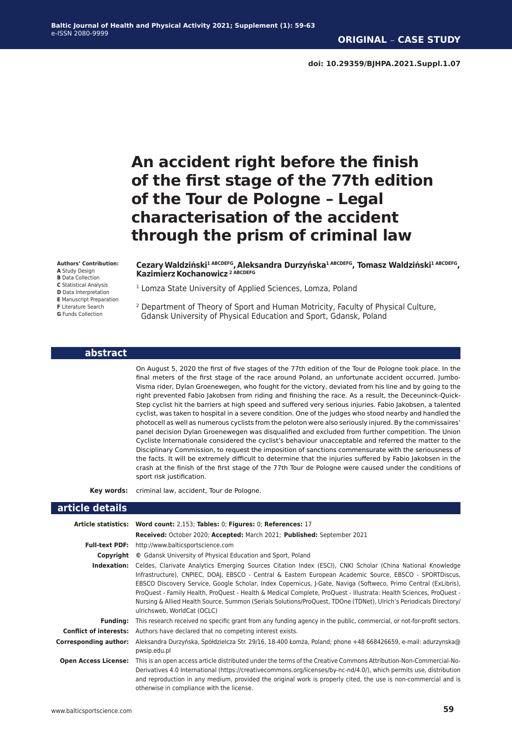# **An accident right before the finish of the first stage of the 77th edition of the Tour de Pologne – Legal characterisation of the accident through the prism of criminal law**

#### **Authors' Contribution:**

**A** Study Design

- **B** Data Collection
- **C** Statistical Analysis **D** Data Interpretation
- **E** Manuscript Preparation
- **F** Literature Search
- **G** Funds Collection

**CezaryWaldziński1 ABCDEFG,Aleksandra Durzyńska1 ABCDEFG, Tomasz Waldziński1 ABCDEFG, Kazimierz Kochanowicz<sup>2 ABCDEFG</sup>** 

- <sup>1</sup> Lomza State University of Applied Sciences, Lomza, Poland
- 2 Department of Theory of Sport and Human Motricity, Faculty of Physical Culture, Gdansk University of Physical Education and Sport, Gdansk, Poland

#### **abstract**

On August 5, 2020 the first of five stages of the 77th edition of the Tour de Pologne took place. In the final meters of the first stage of the race around Poland, an unfortunate accident occurred. Jumbo-Visma rider, Dylan Groenewegen, who fought for the victory, deviated from his line and by going to the right prevented Fabio Jakobsen from riding and finishing the race. As a result, the Deceuninck-Quick-Step cyclist hit the barriers at high speed and suffered very serious injuries. Fabio Jakobsen, a talented cyclist, was taken to hospital in a severe condition. One of the judges who stood nearby and handled the photocell as well as numerous cyclists from the peloton were also seriously injured. By the commissaires' panel decision Dylan Groenewegen was disqualified and excluded from further competition. The Union Cycliste Internationale considered the cyclist's behaviour unacceptable and referred the matter to the Disciplinary Commission, to request the imposition of sanctions commensurate with the seriousness of the facts. It will be extremely difficult to determine that the injuries suffered by Fabio Jakobsen in the crash at the finish of the first stage of the 77th Tour de Pologne were caused under the conditions of sport risk justification.

**Key words:** criminal law, accident, Tour de Pologne.

#### **article details**

|                               | Article statistics: Word count: 2,153; Tables: 0; Figures: 0; References: 17                                                                                                                                                                                                                                                                                                                                                                                                                                                                                                                                       |
|-------------------------------|--------------------------------------------------------------------------------------------------------------------------------------------------------------------------------------------------------------------------------------------------------------------------------------------------------------------------------------------------------------------------------------------------------------------------------------------------------------------------------------------------------------------------------------------------------------------------------------------------------------------|
|                               |                                                                                                                                                                                                                                                                                                                                                                                                                                                                                                                                                                                                                    |
|                               | Received: October 2020; Accepted: March 2021; Published: September 2021                                                                                                                                                                                                                                                                                                                                                                                                                                                                                                                                            |
| <b>Full-text PDF:</b>         | http://www.balticsportscience.com                                                                                                                                                                                                                                                                                                                                                                                                                                                                                                                                                                                  |
| Copyright                     | © Gdansk University of Physical Education and Sport, Poland                                                                                                                                                                                                                                                                                                                                                                                                                                                                                                                                                        |
| Indexation:                   | Celdes, Clarivate Analytics Emerging Sources Citation Index (ESCI), CNKI Scholar (China National Knowledge<br>Infrastructure), CNPIEC, DOAI, EBSCO - Central & Eastern European Academic Source, EBSCO - SPORTDiscus,<br>EBSCO Discovery Service, Google Scholar, Index Copernicus, J-Gate, Naviga (Softweco, Primo Central (ExLibris),<br>ProQuest - Family Health, ProQuest - Health & Medical Complete, ProQuest - Illustrata: Health Sciences, ProQuest -<br>Nursing & Allied Health Source, Summon (Serials Solutions/ProQuest, TDOne (TDNet), Ulrich's Periodicals Directory/<br>ulrichsweb, WorldCat (OCLC) |
| Fundina:                      | This research received no specific grant from any funding agency in the public, commercial, or not-for-profit sectors.                                                                                                                                                                                                                                                                                                                                                                                                                                                                                             |
| <b>Conflict of interests:</b> | Authors have declared that no competing interest exists.                                                                                                                                                                                                                                                                                                                                                                                                                                                                                                                                                           |
| Corresponding author:         | Aleksandra Durzyńska, Spółdzielcza Str. 29/16, 18-400 Łomża, Poland; phone +48 668426659, e-mail: adurzynska@<br>pwsip.edu.pl                                                                                                                                                                                                                                                                                                                                                                                                                                                                                      |
| <b>Open Access License:</b>   | This is an open access article distributed under the terms of the Creative Commons Attribution-Non-Commercial-No-<br>Derivatives 4.0 International (https://creativecommons.org/licenses/by-nc-nd/4.0/), which permits use, distribution<br>and reproduction in any medium, provided the original work is properly cited, the use is non-commercial and is<br>otherwise in compliance with the license.                                                                                                                                                                                                            |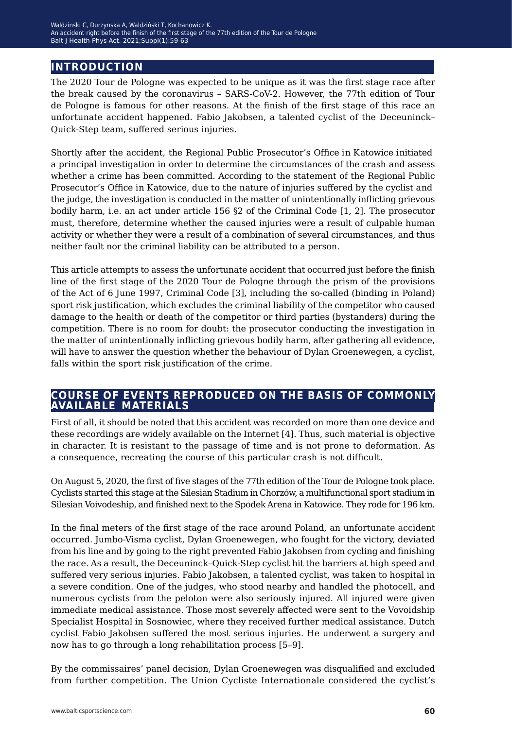## **introduction**

The 2020 Tour de Pologne was expected to be unique as it was the first stage race after the break caused by the coronavirus – SARS-CoV-2. However, the 77th edition of Tour de Pologne is famous for other reasons. At the finish of the first stage of this race an unfortunate accident happened. Fabio Jakobsen, a talented cyclist of the Deceuninck– Quick-Step team, suffered serious injuries.

Shortly after the accident, the Regional Public Prosecutor's Office in Katowice initiated a principal investigation in order to determine the circumstances of the crash and assess whether a crime has been committed. According to the statement of the Regional Public Prosecutor's Office in Katowice, due to the nature of injuries suffered by the cyclist and the judge, the investigation is conducted in the matter of unintentionally inflicting grievous bodily harm, i.e. an act under article 156 §2 of the Criminal Code [1, 2]. The prosecutor must, therefore, determine whether the caused injuries were a result of culpable human activity or whether they were a result of a combination of several circumstances, and thus neither fault nor the criminal liability can be attributed to a person.

This article attempts to assess the unfortunate accident that occurred just before the finish line of the first stage of the 2020 Tour de Pologne through the prism of the provisions of the Act of 6 June 1997, Criminal Code [3], including the so-called (binding in Poland) sport risk justification, which excludes the criminal liability of the competitor who caused damage to the health or death of the competitor or third parties (bystanders) during the competition. There is no room for doubt: the prosecutor conducting the investigation in the matter of unintentionally inflicting grievous bodily harm, after gathering all evidence, will have to answer the question whether the behaviour of Dylan Groenewegen, a cyclist, falls within the sport risk justification of the crime.

### **course of events reproduced on the basis of commonly available materials**

First of all, it should be noted that this accident was recorded on more than one device and these recordings are widely available on the Internet [4]. Thus, such material is objective in character. It is resistant to the passage of time and is not prone to deformation. As a consequence, recreating the course of this particular crash is not difficult.

On August 5, 2020, the first of five stages of the 77th edition of the Tour de Pologne took place. Cyclists started this stage at the Silesian Stadium in Chorzów, a multifunctional sport stadium in Silesian Voivodeship, and finished next to the Spodek Arena in Katowice. They rode for 196 km.

In the final meters of the first stage of the race around Poland, an unfortunate accident occurred. Jumbo-Visma cyclist, Dylan Groenewegen, who fought for the victory, deviated from his line and by going to the right prevented Fabio Jakobsen from cycling and finishing the race. As a result, the Deceuninck–Quick-Step cyclist hit the barriers at high speed and suffered very serious injuries. Fabio Jakobsen, a talented cyclist, was taken to hospital in a severe condition. One of the judges, who stood nearby and handled the photocell, and numerous cyclists from the peloton were also seriously injured. All injured were given immediate medical assistance. Those most severely affected were sent to the Vovoidship Specialist Hospital in Sosnowiec, where they received further medical assistance. Dutch cyclist Fabio Jakobsen suffered the most serious injuries. He underwent a surgery and now has to go through a long rehabilitation process [5–9].

By the commissaires' panel decision, Dylan Groenewegen was disqualified and excluded from further competition. The Union Cycliste Internationale considered the cyclist's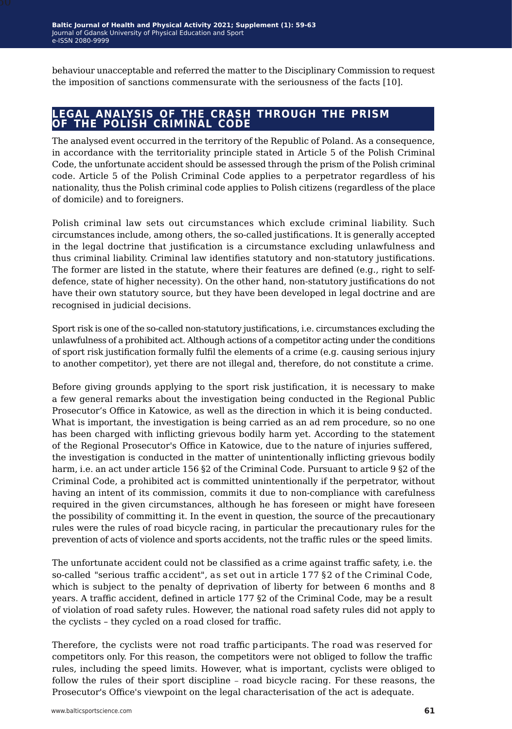behaviour unacceptable and referred the matter to the Disciplinary Commission to request the imposition of sanctions commensurate with the seriousness of the facts [10].

### **legal analysis of the crash through the prism of the polish criminal code**

The analysed event occurred in the territory of the Republic of Poland. As a consequence, in accordance with the territoriality principle stated in Article 5 of the Polish Criminal Code, the unfortunate accident should be assessed through the prism of the Polish criminal code. Article 5 of the Polish Criminal Code applies to a perpetrator regardless of his nationality, thus the Polish criminal code applies to Polish citizens (regardless of the place of domicile) and to foreigners.

Polish criminal law sets out circumstances which exclude criminal liability. Such circumstances include, among others, the so-called justifications. It is generally accepted in the legal doctrine that justification is a circumstance excluding unlawfulness and thus criminal liability. Criminal law identifies statutory and non-statutory justifications. The former are listed in the statute, where their features are defined (e.g., right to selfdefence, state of higher necessity). On the other hand, non-statutory justifications do not have their own statutory source, but they have been developed in legal doctrine and are recognised in judicial decisions.

Sport risk is one of the so-called non-statutory justifications, i.e. circumstances excluding the unlawfulness of a prohibited act. Although actions of a competitor acting under the conditions of sport risk justification formally fulfil the elements of a crime (e.g. causing serious injury to another competitor), yet there are not illegal and, therefore, do not constitute a crime.

Before giving grounds applying to the sport risk justification, it is necessary to make a few general remarks about the investigation being conducted in the Regional Public Prosecutor's Office in Katowice, as well as the direction in which it is being conducted. What is important, the investigation is being carried as an ad rem procedure, so no one has been charged with inflicting grievous bodily harm yet. According to the statement of the Regional Prosecutor's Office in Katowice, due to the nature of injuries suffered, the investigation is conducted in the matter of unintentionally inflicting grievous bodily harm, i.e. an act under article 156 §2 of the Criminal Code. Pursuant to article 9 §2 of the Criminal Code, a prohibited act is committed unintentionally if the perpetrator, without having an intent of its commission, commits it due to non-compliance with carefulness required in the given circumstances, although he has foreseen or might have foreseen the possibility of committing it. In the event in question, the source of the precautionary rules were the rules of road bicycle racing, in particular the precautionary rules for the prevention of acts of violence and sports accidents, not the traffic rules or the speed limits.

The unfortunate accident could not be classified as a crime against traffic safety, i.e. the so-called "serious traffic accident", as set out in article 177 §2 of the Criminal Code, which is subject to the penalty of deprivation of liberty for between 6 months and 8 years. A traffic accident, defined in article 177 §2 of the Criminal Code, may be a result of violation of road safety rules. However, the national road safety rules did not apply to the cyclists – they cycled on a road closed for traffic.

Therefore, the cyclists were not road traffic participants. The road was reserved for competitors only. For this reason, the competitors were not obliged to follow the traffic rules, including the speed limits. However, what is important, cyclists were obliged to follow the rules of their sport discipline – road bicycle racing. For these reasons, the Prosecutor's Office's viewpoint on the legal characterisation of the act is adequate.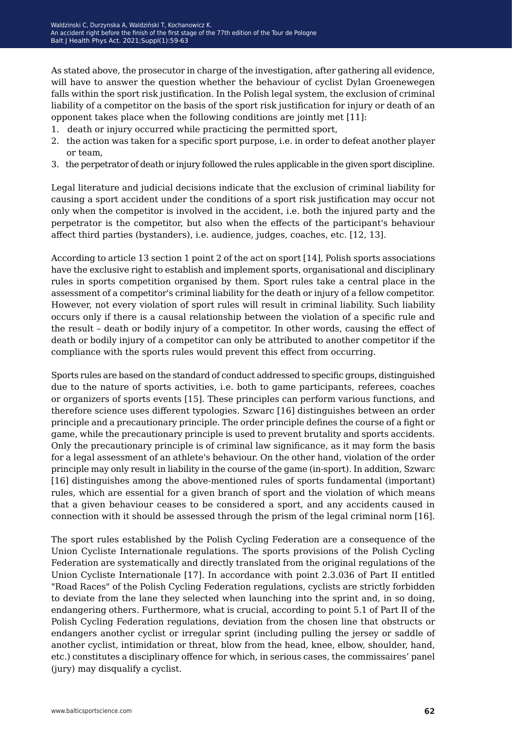As stated above, the prosecutor in charge of the investigation, after gathering all evidence, will have to answer the question whether the behaviour of cyclist Dylan Groenewegen falls within the sport risk justification. In the Polish legal system, the exclusion of criminal liability of a competitor on the basis of the sport risk justification for injury or death of an opponent takes place when the following conditions are jointly met [11]:

- 1. death or injury occurred while practicing the permitted sport,
- 2. the action was taken for a specific sport purpose, i.e. in order to defeat another player or team,
- 3. the perpetrator of death or injury followed the rules applicable in the given sport discipline.

Legal literature and judicial decisions indicate that the exclusion of criminal liability for causing a sport accident under the conditions of a sport risk justification may occur not only when the competitor is involved in the accident, i.e. both the injured party and the perpetrator is the competitor, but also when the effects of the participant's behaviour affect third parties (bystanders), i.e. audience, judges, coaches, etc. [12, 13].

According to article 13 section 1 point 2 of the act on sport [14], Polish sports associations have the exclusive right to establish and implement sports, organisational and disciplinary rules in sports competition organised by them. Sport rules take a central place in the assessment of a competitor's criminal liability for the death or injury of a fellow competitor. However, not every violation of sport rules will result in criminal liability. Such liability occurs only if there is a causal relationship between the violation of a specific rule and the result – death or bodily injury of a competitor. In other words, causing the effect of death or bodily injury of a competitor can only be attributed to another competitor if the compliance with the sports rules would prevent this effect from occurring.

Sports rules are based on the standard of conduct addressed to specific groups, distinguished due to the nature of sports activities, i.e. both to game participants, referees, coaches or organizers of sports events [15]. These principles can perform various functions, and therefore science uses different typologies. Szwarc [16] distinguishes between an order principle and a precautionary principle. The order principle defines the course of a fight or game, while the precautionary principle is used to prevent brutality and sports accidents. Only the precautionary principle is of criminal law significance, as it may form the basis for a legal assessment of an athlete's behaviour. On the other hand, violation of the order principle may only result in liability in the course of the game (in-sport). In addition, Szwarc [16] distinguishes among the above-mentioned rules of sports fundamental (important) rules, which are essential for a given branch of sport and the violation of which means that a given behaviour ceases to be considered a sport, and any accidents caused in connection with it should be assessed through the prism of the legal criminal norm [16].

The sport rules established by the Polish Cycling Federation are a consequence of the Union Cycliste Internationale regulations. The sports provisions of the Polish Cycling Federation are systematically and directly translated from the original regulations of the Union Cycliste Internationale [17]. In accordance with point 2.3.036 of Part II entitled "Road Races" of the Polish Cycling Federation regulations, cyclists are strictly forbidden to deviate from the lane they selected when launching into the sprint and, in so doing, endangering others. Furthermore, what is crucial, according to point 5.1 of Part II of the Polish Cycling Federation regulations, deviation from the chosen line that obstructs or endangers another cyclist or irregular sprint (including pulling the jersey or saddle of another cyclist, intimidation or threat, blow from the head, knee, elbow, shoulder, hand, etc.) constitutes a disciplinary offence for which, in serious cases, the commissaires' panel (jury) may disqualify a cyclist.